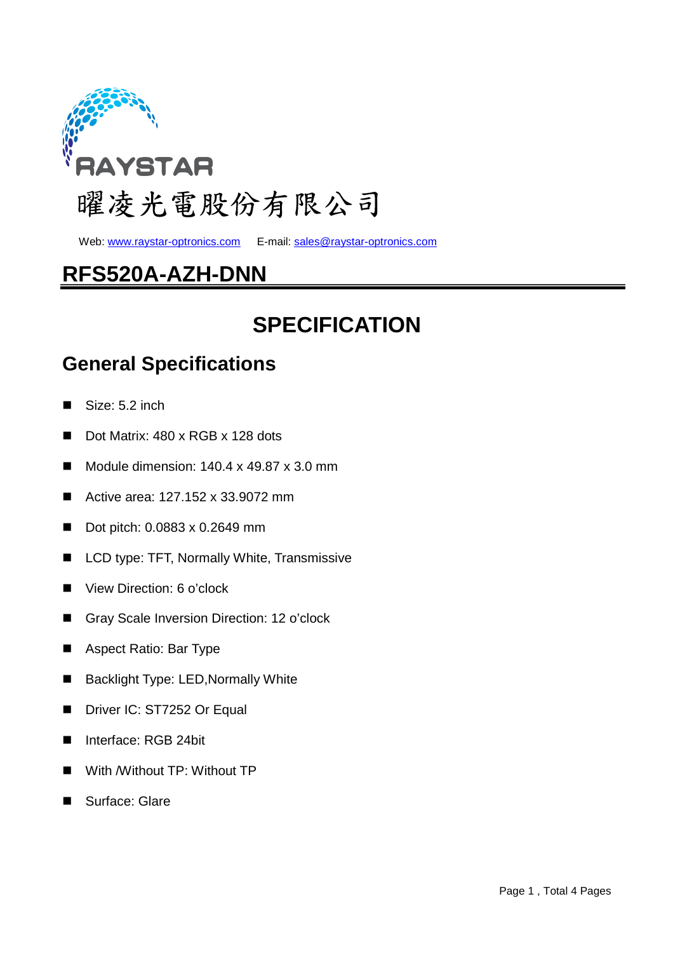

Web: www.raystar-optronics.com E-mail: sales@raystar-optronics.com

# **RFS520A-AZH-DNN**

# **SPECIFICATION**

### **General Specifications**

- Size: 5.2 inch
- Dot Matrix: 480 x RGB x 128 dots
- Module dimension:  $140.4 \times 49.87 \times 3.0 \text{ mm}$
- Active area: 127.152 x 33.9072 mm
- Dot pitch: 0.0883 x 0.2649 mm
- LCD type: TFT, Normally White, Transmissive
- View Direction: 6 o'clock
- Gray Scale Inversion Direction: 12 o'clock
- Aspect Ratio: Bar Type
- Backlight Type: LED, Normally White
- Driver IC: ST7252 Or Equal
- Interface: RGB 24bit
- With /Without TP: Without TP
- Surface: Glare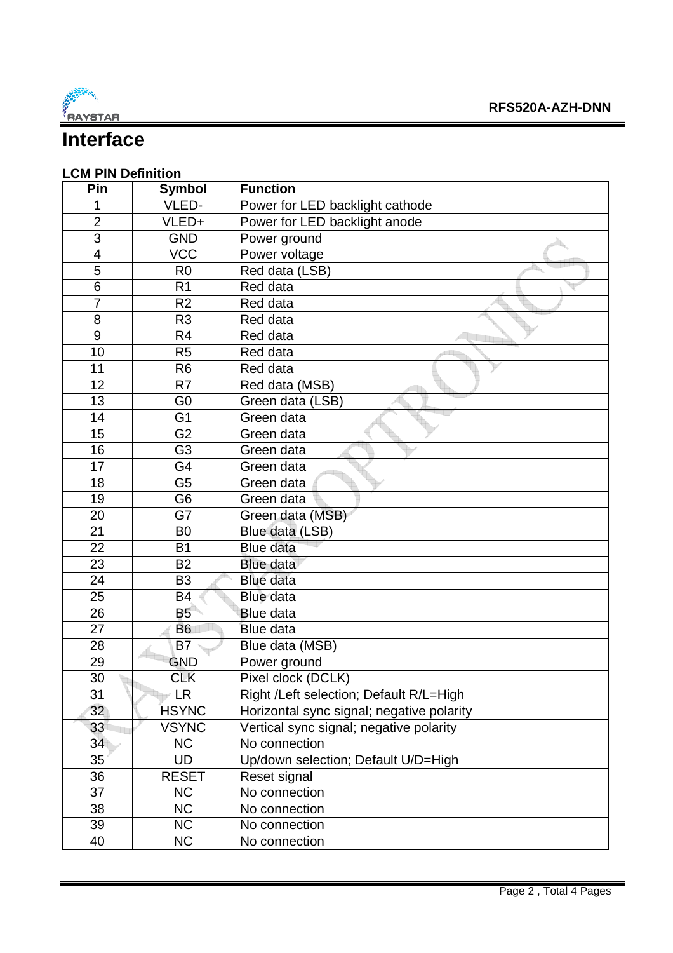

## **Interface**

#### **LCM PIN Definition**

| Pin            | <b>Symbol</b>  | <b>Function</b>                           |
|----------------|----------------|-------------------------------------------|
| 1              | VLED-          | Power for LED backlight cathode           |
| $\overline{2}$ | VLED+          | Power for LED backlight anode             |
| 3              | <b>GND</b>     | Power ground                              |
| 4              | <b>VCC</b>     | Power voltage                             |
| 5              | R <sub>0</sub> | Red data (LSB)                            |
| 6              | R <sub>1</sub> | Red data                                  |
| $\overline{7}$ | R <sub>2</sub> | Red data                                  |
| 8              | R <sub>3</sub> | Red data                                  |
| 9              | R <sub>4</sub> | Red data                                  |
| 10             | R <sub>5</sub> | Red data                                  |
| 11             | R <sub>6</sub> | Red data                                  |
| 12             | R7             | Red data (MSB)                            |
| 13             | G <sub>0</sub> | Green data (LSB)                          |
| 14             | G <sub>1</sub> | Green data                                |
| 15             | G <sub>2</sub> | Green data                                |
| 16             | G <sub>3</sub> | Green data                                |
| 17             | G4             | Green data                                |
| 18             | G <sub>5</sub> | Green data                                |
| 19             | G <sub>6</sub> | Green data                                |
| 20             | G7             | Green data (MSB)                          |
| 21             | B <sub>0</sub> | Blue data (LSB)                           |
| 22             | <b>B1</b>      | <b>Blue data</b>                          |
| 23             | <b>B2</b>      | <b>Blue data</b>                          |
| 24             | B <sub>3</sub> | <b>Blue data</b>                          |
| 25             | B4             | Blue data                                 |
| 26             | <b>B5</b>      | <b>Blue data</b>                          |
| 27             | <b>B6</b>      | Blue data                                 |
| 28             | B7             | Blue data (MSB)                           |
| 29             | <b>GND</b>     | Power ground                              |
| 30             | <b>CLK</b>     | Pixel clock (DCLK)                        |
| 31             | <b>LR</b>      | Right /Left selection; Default R/L=High   |
| 32             | <b>HSYNC</b>   | Horizontal sync signal; negative polarity |
| 33             | <b>VSYNC</b>   | Vertical sync signal; negative polarity   |
| 34             | <b>NC</b>      | No connection                             |
| 35             | <b>UD</b>      | Up/down selection; Default U/D=High       |
| 36             | <b>RESET</b>   | Reset signal                              |
| 37             | <b>NC</b>      | No connection                             |
| 38             | <b>NC</b>      | No connection                             |
| 39             | <b>NC</b>      | No connection                             |
| 40             | <b>NC</b>      | No connection                             |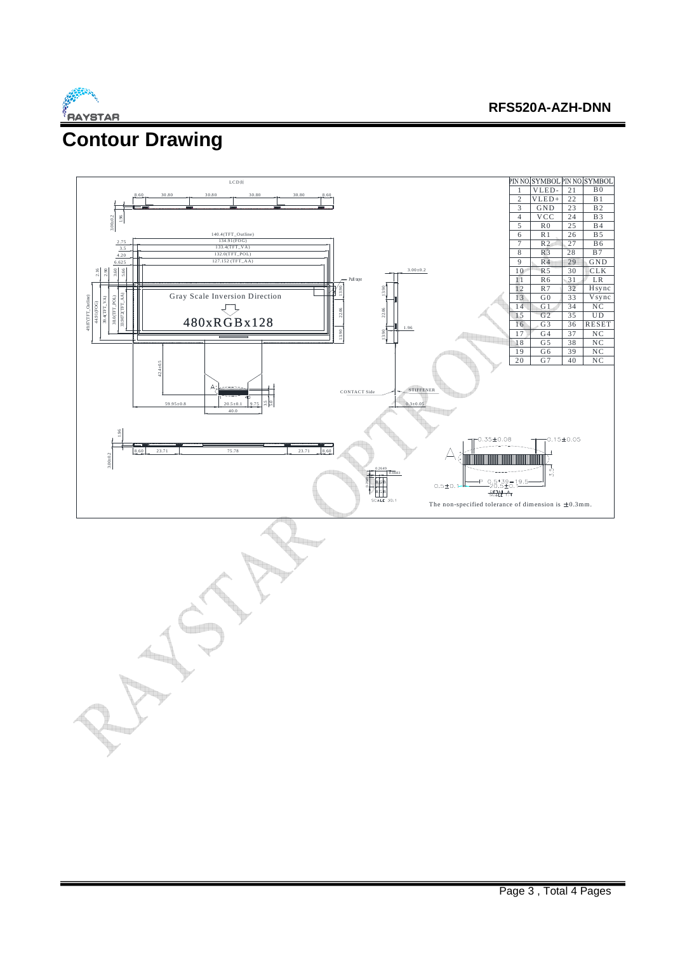

# **Contour Drawing**